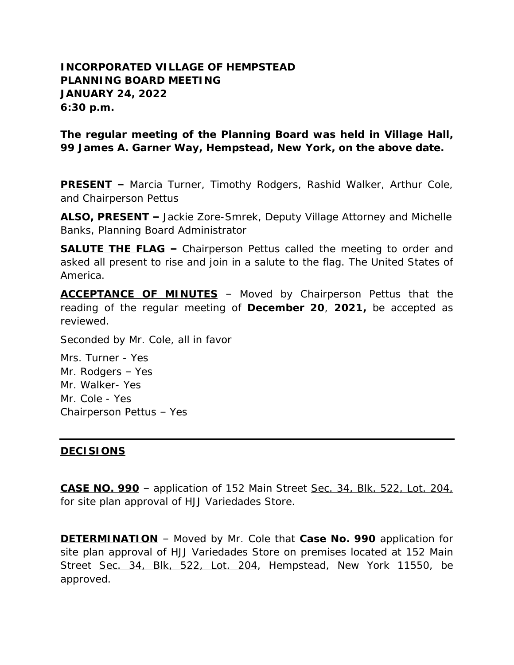## **INCORPORATED VILLAGE OF HEMPSTEAD PLANNING BOARD MEETING JANUARY 24, 2022 6:30 p.m.**

**The regular meeting of the Planning Board was held in Village Hall, 99 James A. Garner Way, Hempstead, New York, on the above date.**

**PRESENT –** Marcia Turner, Timothy Rodgers, Rashid Walker, Arthur Cole, and Chairperson Pettus

**ALSO, PRESENT –** Jackie Zore-Smrek, Deputy Village Attorney and Michelle Banks, Planning Board Administrator

**SALUTE THE FLAG –** Chairperson Pettus called the meeting to order and asked all present to rise and join in a salute to the flag. The United States of America.

**ACCEPTANCE OF MINUTES** – Moved by Chairperson Pettus that the reading of the regular meeting of **December 20**, **2021,** be accepted as reviewed.

Seconded by Mr. Cole, all in favor

Mrs. Turner - Yes Mr. Rodgers – Yes Mr. Walker- Yes Mr. Cole - Yes Chairperson Pettus – Yes

## **DECISIONS**

**CASE NO. 990** – application of 152 Main Street Sec. 34, Blk. 522, Lot. 204, for site plan approval of HJJ Variedades Store.

**DETERMINATION** – Moved by Mr. Cole that **Case No. 990** application for site plan approval of HJJ Variedades Store on premises located at 152 Main Street Sec. 34, Blk, 522, Lot. 204, Hempstead, New York 11550, be approved.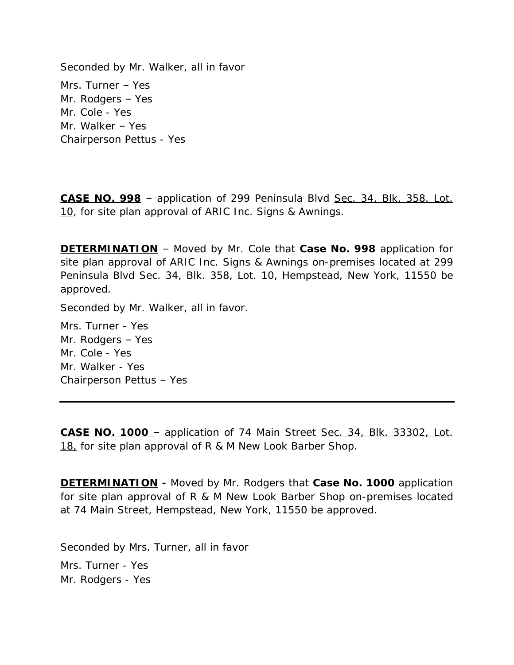Seconded by Mr. Walker, all in favor Mrs. Turner – Yes Mr. Rodgers – Yes Mr. Cole - Yes Mr. Walker – Yes Chairperson Pettus - Yes

**CASE NO. 998** – application of 299 Peninsula Blvd Sec. 34, Blk. 358, Lot. 10, for site plan approval of ARIC Inc. Signs & Awnings.

**DETERMINATION** – Moved by Mr. Cole that **Case No. 998** application for site plan approval of ARIC Inc. Signs & Awnings on-premises located at 299 Peninsula Blvd Sec. 34, Blk. 358, Lot. 10, Hempstead, New York, 11550 be approved.

Seconded by Mr. Walker, all in favor.

Mrs. Turner - Yes Mr. Rodgers – Yes Mr. Cole - Yes Mr. Walker - Yes Chairperson Pettus – Yes

**CASE NO. 1000** – application of 74 Main Street Sec. 34, Blk. 33302, Lot. 18, for site plan approval of R & M New Look Barber Shop.

**DETERMINATION -** Moved by Mr. Rodgers that **Case No. 1000** application for site plan approval of R & M New Look Barber Shop on-premises located at 74 Main Street, Hempstead, New York, 11550 be approved.

Seconded by Mrs. Turner, all in favor Mrs. Turner - Yes Mr. Rodgers - Yes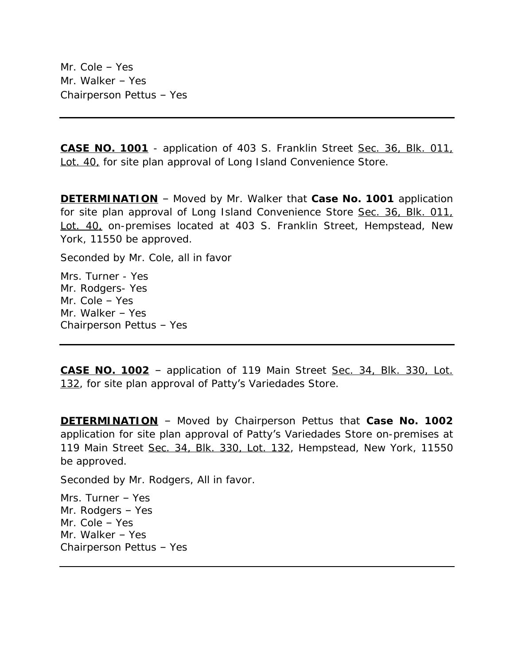Mr. Cole – Yes Mr. Walker – Yes Chairperson Pettus – Yes

**CASE NO. 1001** - application of 403 S. Franklin Street Sec. 36, Blk. 011, Lot. 40, for site plan approval of Long Island Convenience Store.

**DETERMINATION** – Moved by Mr. Walker that **Case No. 1001** application for site plan approval of Long Island Convenience Store Sec. 36, Blk. 011, Lot. 40, on-premises located at 403 S. Franklin Street, Hempstead, New York, 11550 be approved.

Seconded by Mr. Cole, all in favor

Mrs. Turner - Yes Mr. Rodgers- Yes Mr. Cole – Yes Mr. Walker – Yes Chairperson Pettus – Yes

**CASE NO. 1002** – application of 119 Main Street Sec. 34, Blk. 330, Lot. 132, for site plan approval of Patty's Variedades Store.

**DETERMINATION** – Moved by Chairperson Pettus that **Case No. 1002** application for site plan approval of Patty's Variedades Store on-premises at 119 Main Street Sec. 34, Blk. 330, Lot. 132, Hempstead, New York, 11550 be approved.

Seconded by Mr. Rodgers, All in favor.

Mrs. Turner – Yes Mr. Rodgers – Yes Mr. Cole – Yes Mr. Walker – Yes Chairperson Pettus – Yes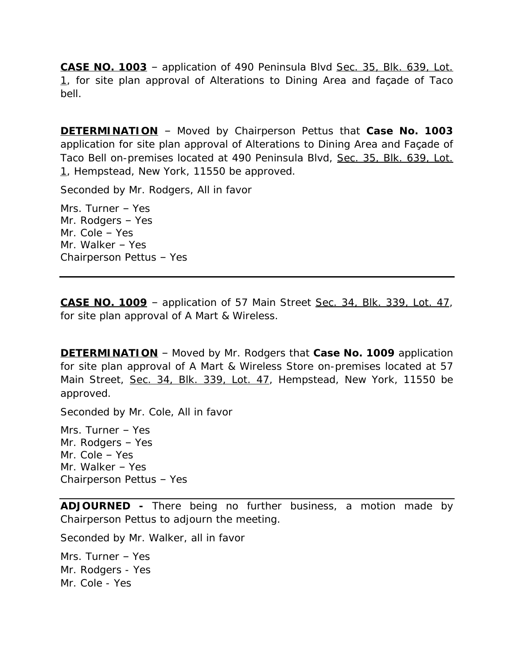**CASE NO. 1003** – application of 490 Peninsula Blvd Sec. 35, Blk. 639, Lot. 1, for site plan approval of Alterations to Dining Area and facade of Taco bell.

**DETERMINATION** – Moved by Chairperson Pettus that **Case No. 1003** application for site plan approval of Alterations to Dining Area and Façade of Taco Bell on-premises located at 490 Peninsula Blvd, Sec. 35, Blk. 639, Lot. 1, Hempstead, New York, 11550 be approved.

Seconded by Mr. Rodgers, All in favor

Mrs. Turner – Yes Mr. Rodgers – Yes Mr. Cole – Yes Mr. Walker – Yes Chairperson Pettus – Yes

**CASE NO. 1009** – application of 57 Main Street Sec. 34, Blk. 339, Lot. 47, for site plan approval of A Mart & Wireless.

**DETERMINATION** – Moved by Mr. Rodgers that **Case No. 1009** application for site plan approval of A Mart & Wireless Store on-premises located at 57 Main Street, Sec. 34, Blk. 339, Lot. 47, Hempstead, New York, 11550 be approved.

Seconded by Mr. Cole, All in favor

Mrs. Turner – Yes Mr. Rodgers – Yes Mr. Cole – Yes Mr. Walker – Yes Chairperson Pettus – Yes

**ADJOURNED -** There being no further business, a motion made by Chairperson Pettus to adjourn the meeting.

Seconded by Mr. Walker, all in favor

Mrs. Turner – Yes Mr. Rodgers - Yes Mr. Cole - Yes